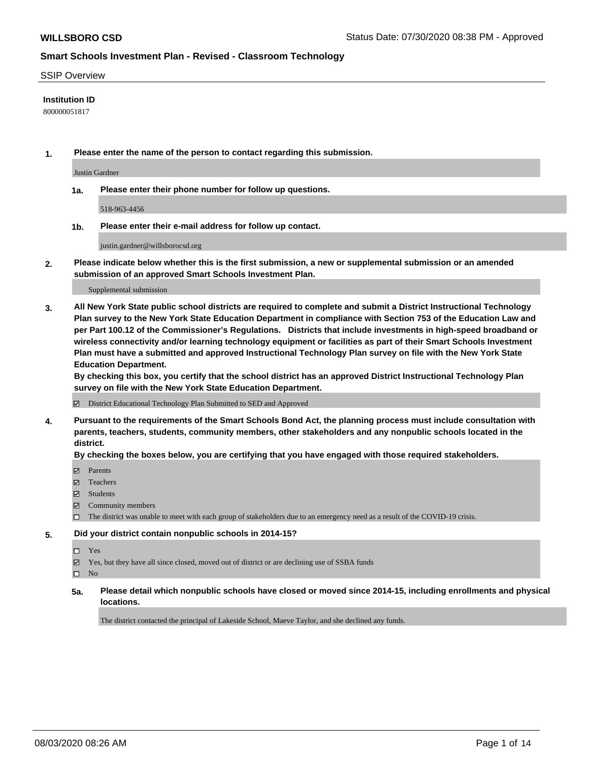### SSIP Overview

### **Institution ID**

800000051817

**1. Please enter the name of the person to contact regarding this submission.**

Justin Gardner

**1a. Please enter their phone number for follow up questions.**

518-963-4456

**1b. Please enter their e-mail address for follow up contact.**

justin.gardner@willsborocsd.org

**2. Please indicate below whether this is the first submission, a new or supplemental submission or an amended submission of an approved Smart Schools Investment Plan.**

#### Supplemental submission

**3. All New York State public school districts are required to complete and submit a District Instructional Technology Plan survey to the New York State Education Department in compliance with Section 753 of the Education Law and per Part 100.12 of the Commissioner's Regulations. Districts that include investments in high-speed broadband or wireless connectivity and/or learning technology equipment or facilities as part of their Smart Schools Investment Plan must have a submitted and approved Instructional Technology Plan survey on file with the New York State Education Department.** 

**By checking this box, you certify that the school district has an approved District Instructional Technology Plan survey on file with the New York State Education Department.**

District Educational Technology Plan Submitted to SED and Approved

**4. Pursuant to the requirements of the Smart Schools Bond Act, the planning process must include consultation with parents, teachers, students, community members, other stakeholders and any nonpublic schools located in the district.** 

### **By checking the boxes below, you are certifying that you have engaged with those required stakeholders.**

- **Parents**
- Teachers
- Students
- $\boxtimes$  Community members
- The district was unable to meet with each group of stakeholders due to an emergency need as a result of the COVID-19 crisis.

### **5. Did your district contain nonpublic schools in 2014-15?**

- Yes
- Yes, but they have all since closed, moved out of district or are declining use of SSBA funds

 $\square$  No

**5a. Please detail which nonpublic schools have closed or moved since 2014-15, including enrollments and physical locations.**

The district contacted the principal of Lakeside School, Maeve Taylor, and she declined any funds.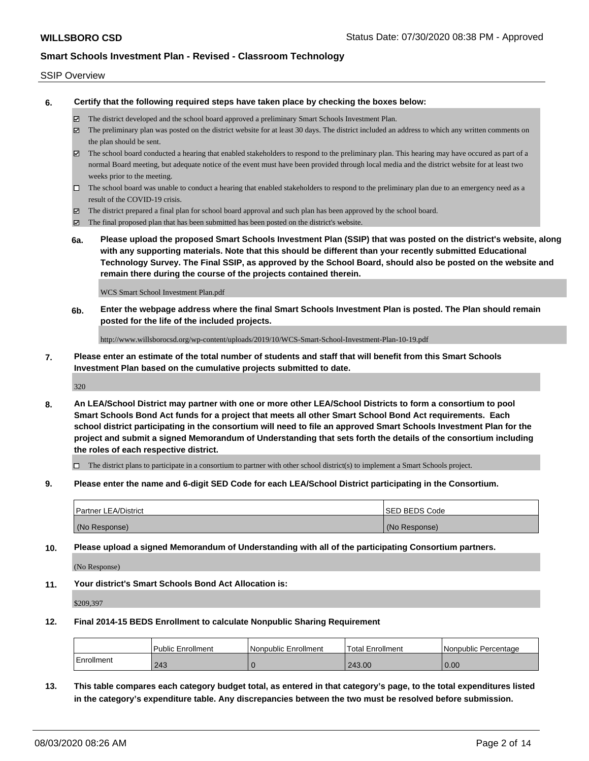### SSIP Overview

**6. Certify that the following required steps have taken place by checking the boxes below:**

- The district developed and the school board approved a preliminary Smart Schools Investment Plan.
- The preliminary plan was posted on the district website for at least 30 days. The district included an address to which any written comments on the plan should be sent.
- $\boxtimes$  The school board conducted a hearing that enabled stakeholders to respond to the preliminary plan. This hearing may have occured as part of a normal Board meeting, but adequate notice of the event must have been provided through local media and the district website for at least two weeks prior to the meeting.
- $\Box$  The school board was unable to conduct a hearing that enabled stakeholders to respond to the preliminary plan due to an emergency need as a result of the COVID-19 crisis.
- The district prepared a final plan for school board approval and such plan has been approved by the school board.
- $\boxtimes$  The final proposed plan that has been submitted has been posted on the district's website.
- **6a. Please upload the proposed Smart Schools Investment Plan (SSIP) that was posted on the district's website, along with any supporting materials. Note that this should be different than your recently submitted Educational Technology Survey. The Final SSIP, as approved by the School Board, should also be posted on the website and remain there during the course of the projects contained therein.**

WCS Smart School Investment Plan.pdf

**6b. Enter the webpage address where the final Smart Schools Investment Plan is posted. The Plan should remain posted for the life of the included projects.**

http://www.willsborocsd.org/wp-content/uploads/2019/10/WCS-Smart-School-Investment-Plan-10-19.pdf

**7. Please enter an estimate of the total number of students and staff that will benefit from this Smart Schools Investment Plan based on the cumulative projects submitted to date.**

320

**8. An LEA/School District may partner with one or more other LEA/School Districts to form a consortium to pool Smart Schools Bond Act funds for a project that meets all other Smart School Bond Act requirements. Each school district participating in the consortium will need to file an approved Smart Schools Investment Plan for the project and submit a signed Memorandum of Understanding that sets forth the details of the consortium including the roles of each respective district.**

 $\Box$  The district plans to participate in a consortium to partner with other school district(s) to implement a Smart Schools project.

**9. Please enter the name and 6-digit SED Code for each LEA/School District participating in the Consortium.**

| <b>Partner LEA/District</b> | <b>ISED BEDS Code</b> |
|-----------------------------|-----------------------|
| (No Response)               | (No Response)         |

**10. Please upload a signed Memorandum of Understanding with all of the participating Consortium partners.**

(No Response)

**11. Your district's Smart Schools Bond Act Allocation is:**

\$209,397

### **12. Final 2014-15 BEDS Enrollment to calculate Nonpublic Sharing Requirement**

|                   | <b>Public Enrollment</b> | l Nonpublic Enrollment | <b>Total Enrollment</b> | l Nonpublic Percentage |
|-------------------|--------------------------|------------------------|-------------------------|------------------------|
| <b>Enrollment</b> | 243                      |                        | 243.00                  | 0.00                   |

**13. This table compares each category budget total, as entered in that category's page, to the total expenditures listed in the category's expenditure table. Any discrepancies between the two must be resolved before submission.**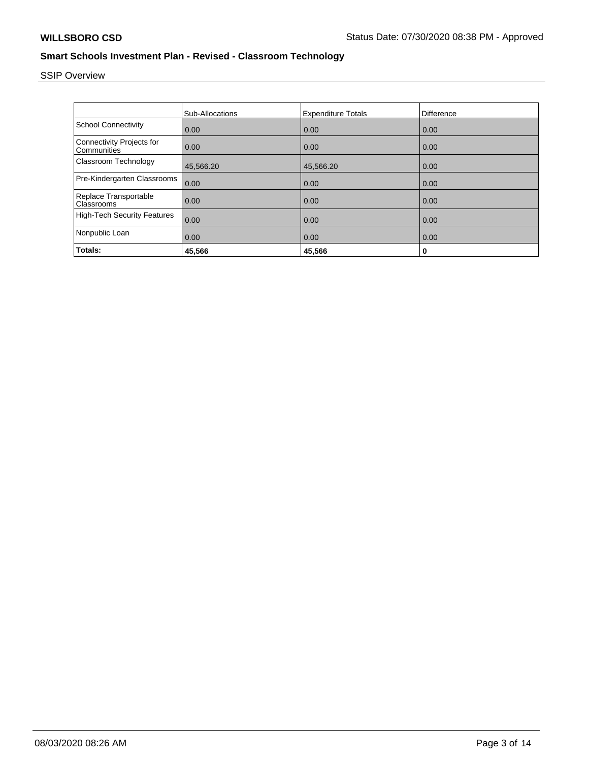# SSIP Overview

|                                                 | <b>Sub-Allocations</b> | <b>Expenditure Totals</b> | Difference |
|-------------------------------------------------|------------------------|---------------------------|------------|
| <b>School Connectivity</b>                      | 0.00                   | 0.00                      | 0.00       |
| <b>Connectivity Projects for</b><br>Communities | 0.00                   | 0.00                      | 0.00       |
| Classroom Technology                            | 45,566.20              | 45,566.20                 | 0.00       |
| Pre-Kindergarten Classrooms                     | 0.00                   | 0.00                      | 0.00       |
| Replace Transportable<br>Classrooms             | 0.00                   | 0.00                      | 0.00       |
| <b>High-Tech Security Features</b>              | 0.00                   | 0.00                      | 0.00       |
| Nonpublic Loan                                  | 0.00                   | 0.00                      | 0.00       |
| Totals:                                         | 45.566                 | 45,566                    | 0          |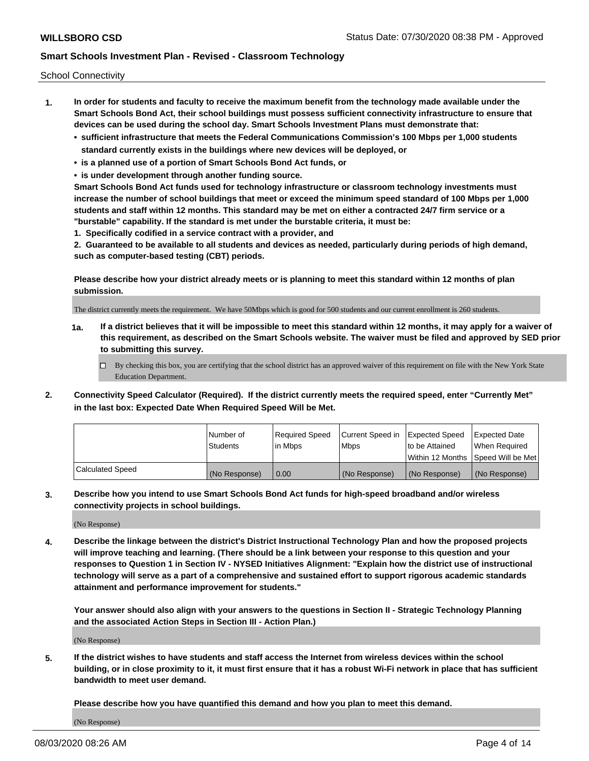School Connectivity

- **1. In order for students and faculty to receive the maximum benefit from the technology made available under the Smart Schools Bond Act, their school buildings must possess sufficient connectivity infrastructure to ensure that devices can be used during the school day. Smart Schools Investment Plans must demonstrate that:**
	- **• sufficient infrastructure that meets the Federal Communications Commission's 100 Mbps per 1,000 students standard currently exists in the buildings where new devices will be deployed, or**
	- **• is a planned use of a portion of Smart Schools Bond Act funds, or**
	- **• is under development through another funding source.**

**Smart Schools Bond Act funds used for technology infrastructure or classroom technology investments must increase the number of school buildings that meet or exceed the minimum speed standard of 100 Mbps per 1,000 students and staff within 12 months. This standard may be met on either a contracted 24/7 firm service or a "burstable" capability. If the standard is met under the burstable criteria, it must be:**

**1. Specifically codified in a service contract with a provider, and**

**2. Guaranteed to be available to all students and devices as needed, particularly during periods of high demand, such as computer-based testing (CBT) periods.**

**Please describe how your district already meets or is planning to meet this standard within 12 months of plan submission.**

The district currently meets the requirement. We have 50Mbps which is good for 500 students and our current enrollment is 260 students.

**1a. If a district believes that it will be impossible to meet this standard within 12 months, it may apply for a waiver of this requirement, as described on the Smart Schools website. The waiver must be filed and approved by SED prior to submitting this survey.**

 $\Box$  By checking this box, you are certifying that the school district has an approved waiver of this requirement on file with the New York State Education Department.

**2. Connectivity Speed Calculator (Required). If the district currently meets the required speed, enter "Currently Met" in the last box: Expected Date When Required Speed Will be Met.**

|                  | l Number of     | Required Speed | Current Speed in | Expected Speed  | Expected Date                       |
|------------------|-----------------|----------------|------------------|-----------------|-------------------------------------|
|                  | <b>Students</b> | l in Mbps      | l Mbps           | Ito be Attained | When Required                       |
|                  |                 |                |                  |                 | Within 12 Months 1Speed Will be Met |
| Calculated Speed | (No Response)   | 0.00           | (No Response)    | (No Response)   | (No Response)                       |

**3. Describe how you intend to use Smart Schools Bond Act funds for high-speed broadband and/or wireless connectivity projects in school buildings.**

(No Response)

**4. Describe the linkage between the district's District Instructional Technology Plan and how the proposed projects will improve teaching and learning. (There should be a link between your response to this question and your responses to Question 1 in Section IV - NYSED Initiatives Alignment: "Explain how the district use of instructional technology will serve as a part of a comprehensive and sustained effort to support rigorous academic standards attainment and performance improvement for students."** 

**Your answer should also align with your answers to the questions in Section II - Strategic Technology Planning and the associated Action Steps in Section III - Action Plan.)**

(No Response)

**5. If the district wishes to have students and staff access the Internet from wireless devices within the school building, or in close proximity to it, it must first ensure that it has a robust Wi-Fi network in place that has sufficient bandwidth to meet user demand.**

**Please describe how you have quantified this demand and how you plan to meet this demand.**

(No Response)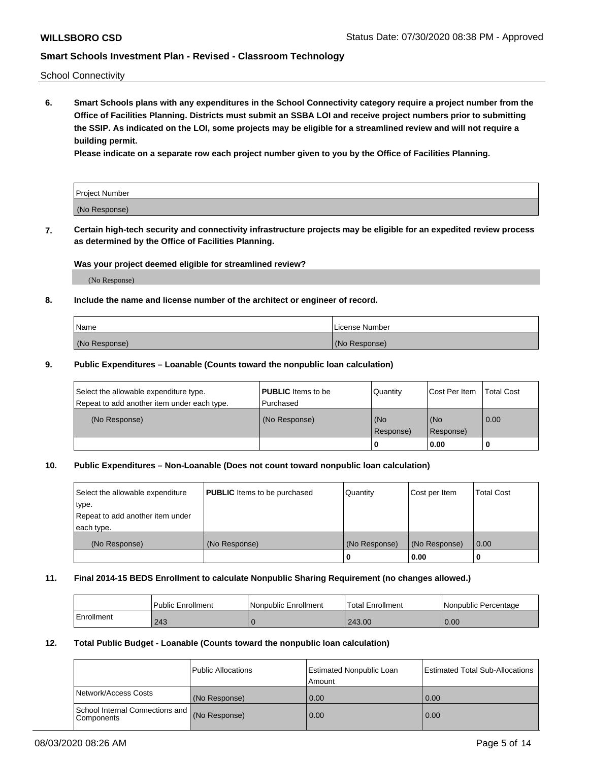School Connectivity

**6. Smart Schools plans with any expenditures in the School Connectivity category require a project number from the Office of Facilities Planning. Districts must submit an SSBA LOI and receive project numbers prior to submitting the SSIP. As indicated on the LOI, some projects may be eligible for a streamlined review and will not require a building permit.**

**Please indicate on a separate row each project number given to you by the Office of Facilities Planning.**

| Project Number |  |
|----------------|--|
| (No Response)  |  |

**7. Certain high-tech security and connectivity infrastructure projects may be eligible for an expedited review process as determined by the Office of Facilities Planning.**

### **Was your project deemed eligible for streamlined review?**

(No Response)

### **8. Include the name and license number of the architect or engineer of record.**

| Name          | License Number |
|---------------|----------------|
| (No Response) | (No Response)  |

### **9. Public Expenditures – Loanable (Counts toward the nonpublic loan calculation)**

| Select the allowable expenditure type.<br>Repeat to add another item under each type. | <b>PUBLIC</b> Items to be<br>l Purchased | Quantity           | Cost Per Item    | <b>Total Cost</b> |
|---------------------------------------------------------------------------------------|------------------------------------------|--------------------|------------------|-------------------|
| (No Response)                                                                         | (No Response)                            | l (No<br>Response) | (No<br>Response) | $\overline{0.00}$ |
|                                                                                       |                                          | O                  | 0.00             |                   |

### **10. Public Expenditures – Non-Loanable (Does not count toward nonpublic loan calculation)**

| Select the allowable expenditure<br>type.<br>Repeat to add another item under<br>each type. | <b>PUBLIC</b> Items to be purchased | Quantity      | Cost per Item | <b>Total Cost</b> |
|---------------------------------------------------------------------------------------------|-------------------------------------|---------------|---------------|-------------------|
| (No Response)                                                                               | (No Response)                       | (No Response) | (No Response) | 0.00              |
|                                                                                             |                                     |               | 0.00          |                   |

### **11. Final 2014-15 BEDS Enrollment to calculate Nonpublic Sharing Requirement (no changes allowed.)**

|            | Public Enrollment | Nonpublic Enrollment | <b>Total Enrollment</b> | l Nonpublic Percentage |
|------------|-------------------|----------------------|-------------------------|------------------------|
| Enrollment | 243               |                      | 243.00                  | 0.00                   |

### **12. Total Public Budget - Loanable (Counts toward the nonpublic loan calculation)**

|                                                      | Public Allocations | <b>Estimated Nonpublic Loan</b><br>Amount | Estimated Total Sub-Allocations |
|------------------------------------------------------|--------------------|-------------------------------------------|---------------------------------|
| Network/Access Costs                                 | (No Response)      | 0.00                                      | 0.00                            |
| School Internal Connections and<br><b>Components</b> | (No Response)      | 0.00                                      | 0.00                            |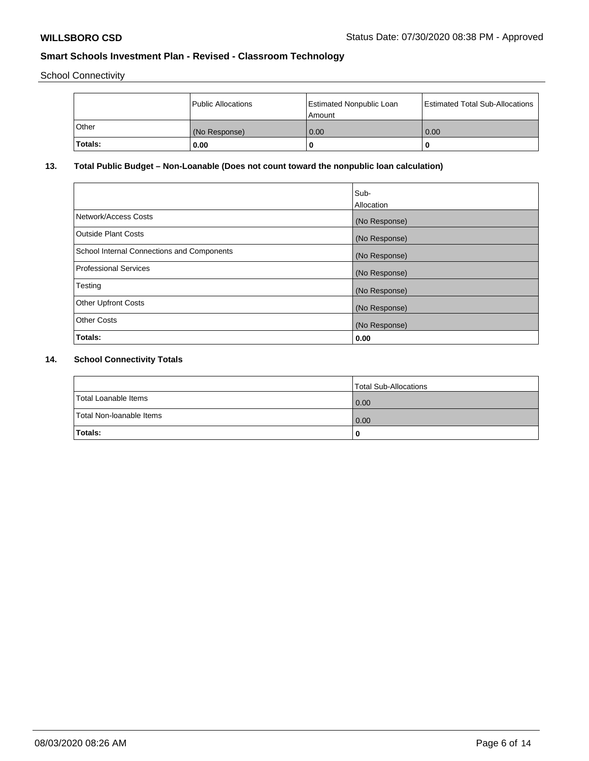School Connectivity

|         | Public Allocations | <b>Estimated Nonpublic Loan</b><br>l Amount | <b>Estimated Total Sub-Allocations</b> |
|---------|--------------------|---------------------------------------------|----------------------------------------|
| l Other | (No Response)      | 0.00                                        | 0.00                                   |
| Totals: | 0.00               | 0                                           |                                        |

## **13. Total Public Budget – Non-Loanable (Does not count toward the nonpublic loan calculation)**

|                                                   | Sub-<br>Allocation |
|---------------------------------------------------|--------------------|
| Network/Access Costs                              | (No Response)      |
| Outside Plant Costs                               | (No Response)      |
| <b>School Internal Connections and Components</b> | (No Response)      |
| Professional Services                             | (No Response)      |
| Testing                                           | (No Response)      |
| <b>Other Upfront Costs</b>                        | (No Response)      |
| <b>Other Costs</b>                                | (No Response)      |
| Totals:                                           | 0.00               |

## **14. School Connectivity Totals**

|                          | Total Sub-Allocations |
|--------------------------|-----------------------|
| Total Loanable Items     | 0.00                  |
| Total Non-Ioanable Items | 0.00                  |
| Totals:                  | 0                     |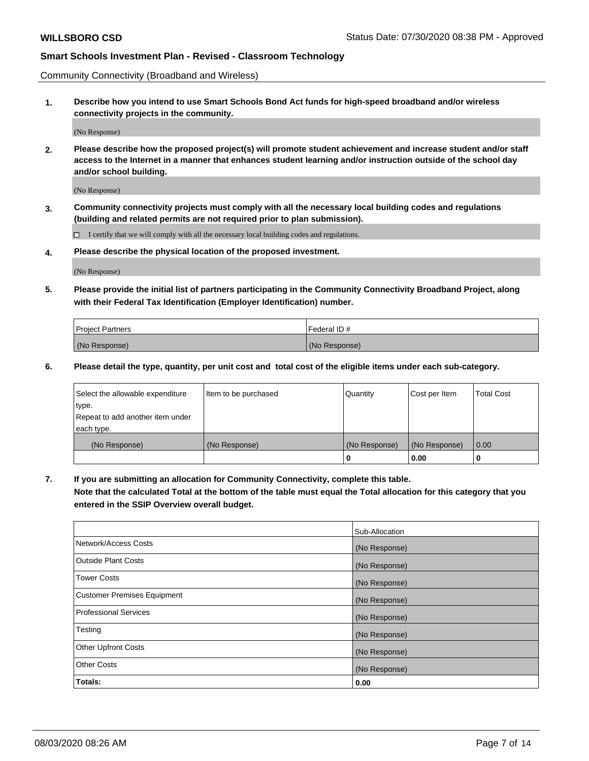Community Connectivity (Broadband and Wireless)

**1. Describe how you intend to use Smart Schools Bond Act funds for high-speed broadband and/or wireless connectivity projects in the community.**

(No Response)

**2. Please describe how the proposed project(s) will promote student achievement and increase student and/or staff access to the Internet in a manner that enhances student learning and/or instruction outside of the school day and/or school building.**

(No Response)

**3. Community connectivity projects must comply with all the necessary local building codes and regulations (building and related permits are not required prior to plan submission).**

 $\Box$  I certify that we will comply with all the necessary local building codes and regulations.

**4. Please describe the physical location of the proposed investment.**

(No Response)

**5. Please provide the initial list of partners participating in the Community Connectivity Broadband Project, along with their Federal Tax Identification (Employer Identification) number.**

| <b>Project Partners</b> | l Federal ID # |
|-------------------------|----------------|
| (No Response)           | (No Response)  |

**6. Please detail the type, quantity, per unit cost and total cost of the eligible items under each sub-category.**

| Select the allowable expenditure | Item to be purchased | Quantity      | Cost per Item | <b>Total Cost</b> |
|----------------------------------|----------------------|---------------|---------------|-------------------|
| type.                            |                      |               |               |                   |
| Repeat to add another item under |                      |               |               |                   |
| each type.                       |                      |               |               |                   |
| (No Response)                    | (No Response)        | (No Response) | (No Response) | 0.00              |
|                                  |                      | o             | 0.00          |                   |

**7. If you are submitting an allocation for Community Connectivity, complete this table.**

**Note that the calculated Total at the bottom of the table must equal the Total allocation for this category that you entered in the SSIP Overview overall budget.**

|                                    | Sub-Allocation |
|------------------------------------|----------------|
| Network/Access Costs               | (No Response)  |
| Outside Plant Costs                | (No Response)  |
| <b>Tower Costs</b>                 | (No Response)  |
| <b>Customer Premises Equipment</b> | (No Response)  |
| <b>Professional Services</b>       | (No Response)  |
| Testing                            | (No Response)  |
| <b>Other Upfront Costs</b>         | (No Response)  |
| <b>Other Costs</b>                 | (No Response)  |
| Totals:                            | 0.00           |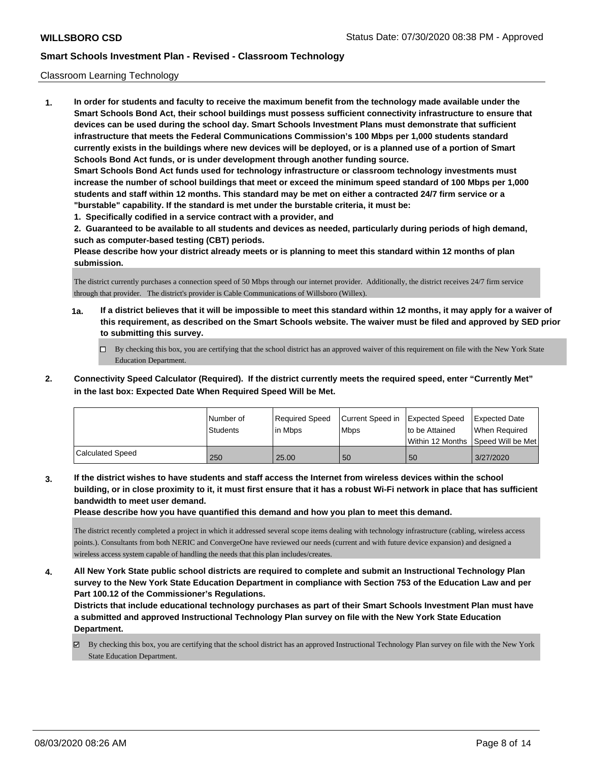### Classroom Learning Technology

**1. In order for students and faculty to receive the maximum benefit from the technology made available under the Smart Schools Bond Act, their school buildings must possess sufficient connectivity infrastructure to ensure that devices can be used during the school day. Smart Schools Investment Plans must demonstrate that sufficient infrastructure that meets the Federal Communications Commission's 100 Mbps per 1,000 students standard currently exists in the buildings where new devices will be deployed, or is a planned use of a portion of Smart Schools Bond Act funds, or is under development through another funding source. Smart Schools Bond Act funds used for technology infrastructure or classroom technology investments must increase the number of school buildings that meet or exceed the minimum speed standard of 100 Mbps per 1,000 students and staff within 12 months. This standard may be met on either a contracted 24/7 firm service or a "burstable" capability. If the standard is met under the burstable criteria, it must be:**

**1. Specifically codified in a service contract with a provider, and**

**2. Guaranteed to be available to all students and devices as needed, particularly during periods of high demand, such as computer-based testing (CBT) periods.**

**Please describe how your district already meets or is planning to meet this standard within 12 months of plan submission.**

The district currently purchases a connection speed of 50 Mbps through our internet provider. Additionally, the district receives 24/7 firm service through that provider. The district's provider is Cable Communications of Willsboro (Willex).

- **1a. If a district believes that it will be impossible to meet this standard within 12 months, it may apply for a waiver of this requirement, as described on the Smart Schools website. The waiver must be filed and approved by SED prior to submitting this survey.**
	- By checking this box, you are certifying that the school district has an approved waiver of this requirement on file with the New York State Education Department.
- **2. Connectivity Speed Calculator (Required). If the district currently meets the required speed, enter "Currently Met" in the last box: Expected Date When Required Speed Will be Met.**

|                  | l Number of<br><b>Students</b> | Required Speed<br>l in Mbps | Current Speed in Expected Speed<br>l Mbps | to be Attained | <b>Expected Date</b><br>When Required<br>l Within 12 Months ISpeed Will be Met l |
|------------------|--------------------------------|-----------------------------|-------------------------------------------|----------------|----------------------------------------------------------------------------------|
| Calculated Speed | 250                            | 25.00                       | 50                                        | 50             | 3/27/2020                                                                        |

**3. If the district wishes to have students and staff access the Internet from wireless devices within the school building, or in close proximity to it, it must first ensure that it has a robust Wi-Fi network in place that has sufficient bandwidth to meet user demand.**

**Please describe how you have quantified this demand and how you plan to meet this demand.**

The district recently completed a project in which it addressed several scope items dealing with technology infrastructure (cabling, wireless access points.). Consultants from both NERIC and ConvergeOne have reviewed our needs (current and with future device expansion) and designed a wireless access system capable of handling the needs that this plan includes/creates.

**4. All New York State public school districts are required to complete and submit an Instructional Technology Plan survey to the New York State Education Department in compliance with Section 753 of the Education Law and per Part 100.12 of the Commissioner's Regulations.**

**Districts that include educational technology purchases as part of their Smart Schools Investment Plan must have a submitted and approved Instructional Technology Plan survey on file with the New York State Education Department.**

By checking this box, you are certifying that the school district has an approved Instructional Technology Plan survey on file with the New York State Education Department.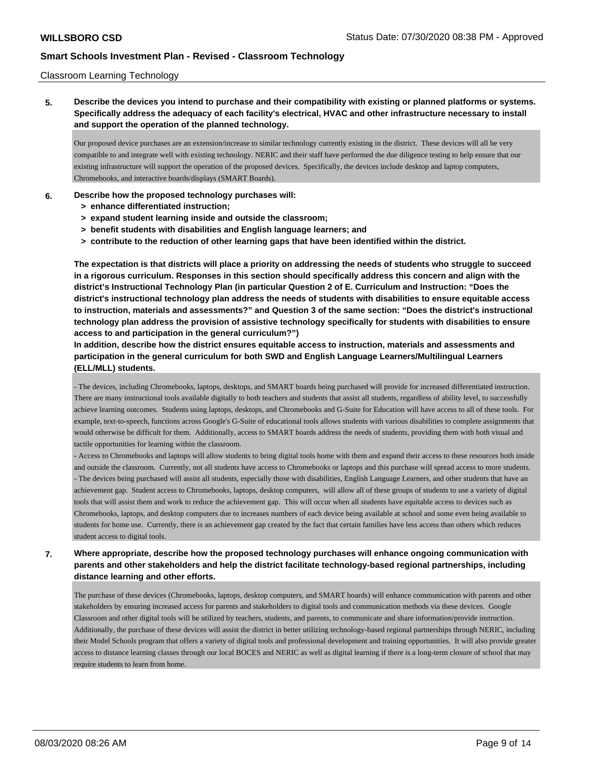### Classroom Learning Technology

**5. Describe the devices you intend to purchase and their compatibility with existing or planned platforms or systems. Specifically address the adequacy of each facility's electrical, HVAC and other infrastructure necessary to install and support the operation of the planned technology.**

Our proposed device purchases are an extension/increase to similar technology currently existing in the district. These devices will all be very compatible to and integrate well with existing technology. NERIC and their staff have performed the due diligence testing to help ensure that our existing infrastructure will support the operation of the proposed devices. Specifically, the devices include desktop and laptop computers, Chromebooks, and interactive boards/displays (SMART Boards).

### **6. Describe how the proposed technology purchases will:**

- **> enhance differentiated instruction;**
- **> expand student learning inside and outside the classroom;**
- **> benefit students with disabilities and English language learners; and**
- **> contribute to the reduction of other learning gaps that have been identified within the district.**

**The expectation is that districts will place a priority on addressing the needs of students who struggle to succeed in a rigorous curriculum. Responses in this section should specifically address this concern and align with the district's Instructional Technology Plan (in particular Question 2 of E. Curriculum and Instruction: "Does the district's instructional technology plan address the needs of students with disabilities to ensure equitable access to instruction, materials and assessments?" and Question 3 of the same section: "Does the district's instructional technology plan address the provision of assistive technology specifically for students with disabilities to ensure access to and participation in the general curriculum?")**

**In addition, describe how the district ensures equitable access to instruction, materials and assessments and participation in the general curriculum for both SWD and English Language Learners/Multilingual Learners (ELL/MLL) students.**

- The devices, including Chromebooks, laptops, desktops, and SMART boards being purchased will provide for increased differentiated instruction. There are many instructional tools available digitally to both teachers and students that assist all students, regardless of ability level, to successfully achieve learning outcomes. Students using laptops, desktops, and Chromebooks and G-Suite for Education will have access to all of these tools. For example, text-to-speech, functions across Google's G-Suite of educational tools allows students with various disabilities to complete assignments that would otherwise be difficult for them. Additionally, access to SMART boards address the needs of students, providing them with both visual and tactile opportunities for learning within the classroom.

- Access to Chromebooks and laptops will allow students to bring digital tools home with them and expand their access to these resources both inside and outside the classroom. Currently, not all students have access to Chromebooks or laptops and this purchase will spread access to more students. - The devices being purchased will assist all students, especially those with disabilities, English Language Learners, and other students that have an achievement gap. Student access to Chromebooks, laptops, desktop computers, will allow all of these groups of students to use a variety of digital tools that will assist them and work to reduce the achievement gap. This will occur when all students have equitable access to devices such as Chromebooks, laptops, and desktop computers due to increases numbers of each device being available at school and some even being available to students for home use. Currently, there is an achievement gap created by the fact that certain families have less access than others which reduces student access to digital tools.

**7. Where appropriate, describe how the proposed technology purchases will enhance ongoing communication with parents and other stakeholders and help the district facilitate technology-based regional partnerships, including distance learning and other efforts.**

The purchase of these devices (Chromebooks, laptops, desktop computers, and SMART boards) will enhance communication with parents and other stakeholders by ensuring increased access for parents and stakeholders to digital tools and communication methods via these devices. Google Classroom and other digital tools will be utilized by teachers, students, and parents, to communicate and share information/provide instruction. Additionally, the purchase of these devices will assist the district in better utilizing technology-based regional partnerships through NERIC, including their Model Schools program that offers a variety of digital tools and professional development and training opportunities. It will also provide greater access to distance learning classes through our local BOCES and NERIC as well as digital learning if there is a long-term closure of school that may require students to learn from home.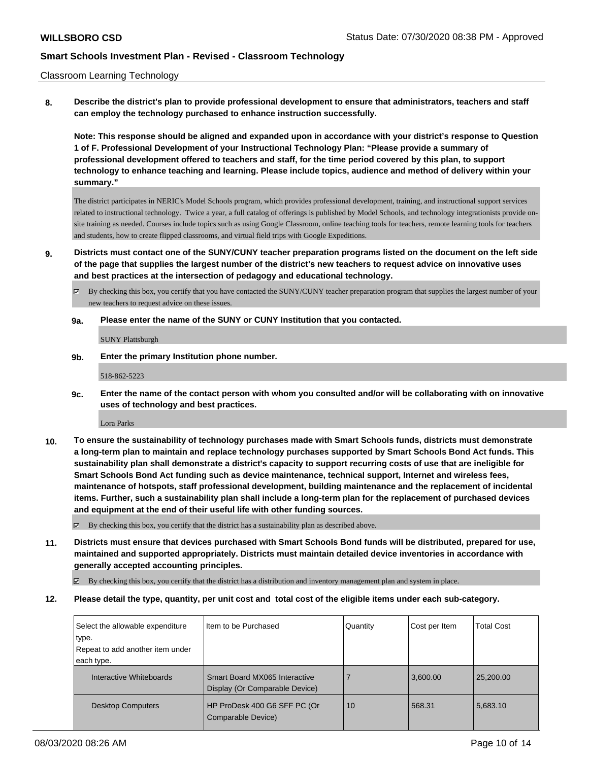### Classroom Learning Technology

**8. Describe the district's plan to provide professional development to ensure that administrators, teachers and staff can employ the technology purchased to enhance instruction successfully.**

**Note: This response should be aligned and expanded upon in accordance with your district's response to Question 1 of F. Professional Development of your Instructional Technology Plan: "Please provide a summary of professional development offered to teachers and staff, for the time period covered by this plan, to support technology to enhance teaching and learning. Please include topics, audience and method of delivery within your summary."**

The district participates in NERIC's Model Schools program, which provides professional development, training, and instructional support services related to instructional technology. Twice a year, a full catalog of offerings is published by Model Schools, and technology integrationists provide onsite training as needed. Courses include topics such as using Google Classroom, online teaching tools for teachers, remote learning tools for teachers and students, how to create flipped classrooms, and virtual field trips with Google Expeditions.

**9. Districts must contact one of the SUNY/CUNY teacher preparation programs listed on the document on the left side of the page that supplies the largest number of the district's new teachers to request advice on innovative uses and best practices at the intersection of pedagogy and educational technology.**

By checking this box, you certify that you have contacted the SUNY/CUNY teacher preparation program that supplies the largest number of your new teachers to request advice on these issues.

### **9a. Please enter the name of the SUNY or CUNY Institution that you contacted.**

SUNY Plattsburgh

**9b. Enter the primary Institution phone number.**

518-862-5223

**9c. Enter the name of the contact person with whom you consulted and/or will be collaborating with on innovative uses of technology and best practices.**

Lora Parks

**10. To ensure the sustainability of technology purchases made with Smart Schools funds, districts must demonstrate a long-term plan to maintain and replace technology purchases supported by Smart Schools Bond Act funds. This sustainability plan shall demonstrate a district's capacity to support recurring costs of use that are ineligible for Smart Schools Bond Act funding such as device maintenance, technical support, Internet and wireless fees, maintenance of hotspots, staff professional development, building maintenance and the replacement of incidental items. Further, such a sustainability plan shall include a long-term plan for the replacement of purchased devices and equipment at the end of their useful life with other funding sources.**

 $\boxtimes$  By checking this box, you certify that the district has a sustainability plan as described above.

**11. Districts must ensure that devices purchased with Smart Schools Bond funds will be distributed, prepared for use, maintained and supported appropriately. Districts must maintain detailed device inventories in accordance with generally accepted accounting principles.**

By checking this box, you certify that the district has a distribution and inventory management plan and system in place.

### **12. Please detail the type, quantity, per unit cost and total cost of the eligible items under each sub-category.**

| Select the allowable expenditure | Item to be Purchased                               | Quantity | Cost per Item | <b>Total Cost</b> |
|----------------------------------|----------------------------------------------------|----------|---------------|-------------------|
| type.                            |                                                    |          |               |                   |
| Repeat to add another item under |                                                    |          |               |                   |
| each type.                       |                                                    |          |               |                   |
| Interactive Whiteboards          | Smart Board MX065 Interactive                      |          | 3,600.00      | 25,200.00         |
|                                  | Display (Or Comparable Device)                     |          |               |                   |
| <b>Desktop Computers</b>         | HP ProDesk 400 G6 SFF PC (Or<br>Comparable Device) | 10       | 568.31        | 5,683.10          |
|                                  |                                                    |          |               |                   |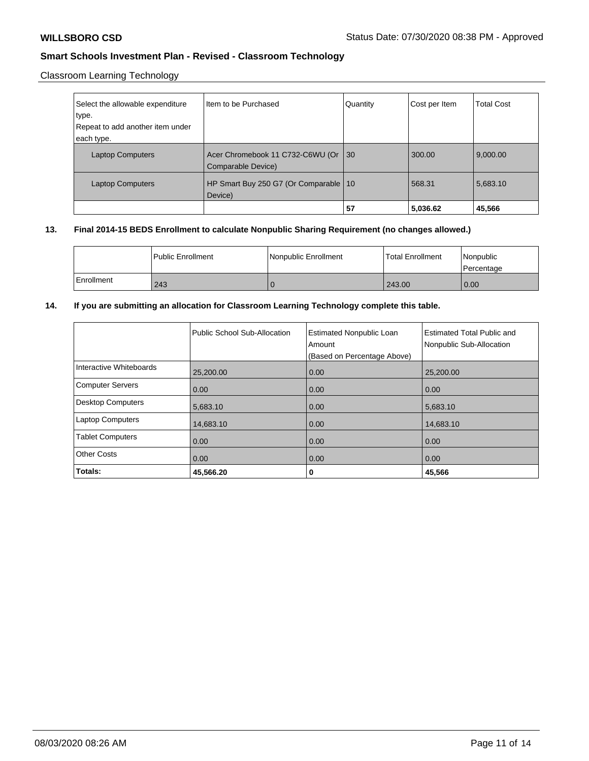## Classroom Learning Technology

| Select the allowable expenditure<br>type.<br>Repeat to add another item under | I Item to be Purchased                                 | Quantity | Cost per Item | <b>Total Cost</b> |
|-------------------------------------------------------------------------------|--------------------------------------------------------|----------|---------------|-------------------|
| each type.                                                                    |                                                        |          |               |                   |
| <b>Laptop Computers</b>                                                       | Acer Chromebook 11 C732-C6WU (Or<br>Comparable Device) | 30       | 300.00        | 9,000.00          |
| <b>Laptop Computers</b>                                                       | HP Smart Buy 250 G7 (Or Comparable   10<br>Device)     |          | 568.31        | 5,683.10          |
|                                                                               |                                                        | 57       | 5,036.62      | 45,566            |

### **13. Final 2014-15 BEDS Enrollment to calculate Nonpublic Sharing Requirement (no changes allowed.)**

|            | l Public Enrollment | Nonpublic Enrollment | l Total Enrollment | l Nonpublic<br>l Percentage |
|------------|---------------------|----------------------|--------------------|-----------------------------|
| Enrollment | 243                 |                      | 243.00             | 0.00                        |

### **14. If you are submitting an allocation for Classroom Learning Technology complete this table.**

|                          | Public School Sub-Allocation | <b>Estimated Nonpublic Loan</b><br>Amount<br>(Based on Percentage Above) | <b>Estimated Total Public and</b><br>Nonpublic Sub-Allocation |
|--------------------------|------------------------------|--------------------------------------------------------------------------|---------------------------------------------------------------|
| Interactive Whiteboards  | 25,200.00                    | 0.00                                                                     | 25,200.00                                                     |
| <b>Computer Servers</b>  | 0.00                         | 0.00                                                                     | 0.00                                                          |
| <b>Desktop Computers</b> | 5,683.10                     | 0.00                                                                     | 5,683.10                                                      |
| <b>Laptop Computers</b>  | 14,683.10                    | 0.00                                                                     | 14,683.10                                                     |
| <b>Tablet Computers</b>  | 0.00                         | 0.00                                                                     | 0.00                                                          |
| <b>Other Costs</b>       | 0.00                         | 0.00                                                                     | 0.00                                                          |
| Totals:                  | 45,566.20                    | 0                                                                        | 45,566                                                        |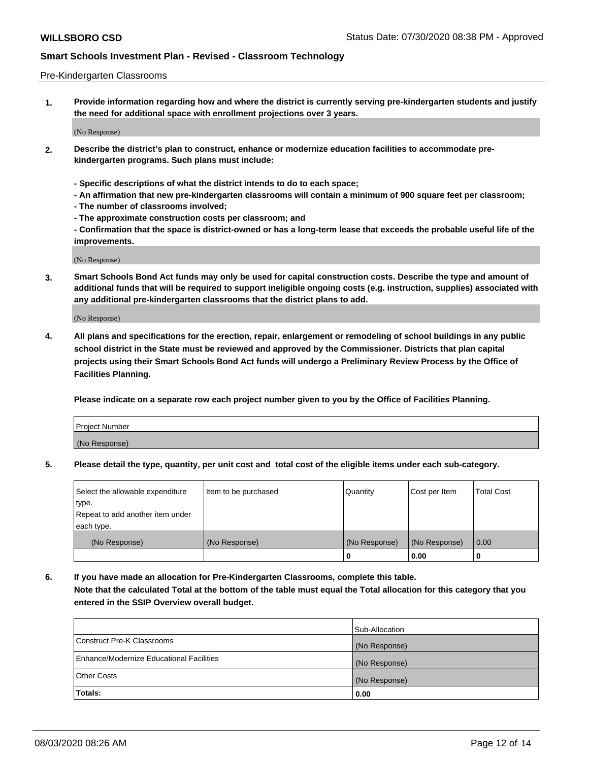### Pre-Kindergarten Classrooms

**1. Provide information regarding how and where the district is currently serving pre-kindergarten students and justify the need for additional space with enrollment projections over 3 years.**

(No Response)

- **2. Describe the district's plan to construct, enhance or modernize education facilities to accommodate prekindergarten programs. Such plans must include:**
	- **Specific descriptions of what the district intends to do to each space;**
	- **An affirmation that new pre-kindergarten classrooms will contain a minimum of 900 square feet per classroom;**
	- **The number of classrooms involved;**
	- **The approximate construction costs per classroom; and**
	- **Confirmation that the space is district-owned or has a long-term lease that exceeds the probable useful life of the improvements.**

(No Response)

**3. Smart Schools Bond Act funds may only be used for capital construction costs. Describe the type and amount of additional funds that will be required to support ineligible ongoing costs (e.g. instruction, supplies) associated with any additional pre-kindergarten classrooms that the district plans to add.**

(No Response)

**4. All plans and specifications for the erection, repair, enlargement or remodeling of school buildings in any public school district in the State must be reviewed and approved by the Commissioner. Districts that plan capital projects using their Smart Schools Bond Act funds will undergo a Preliminary Review Process by the Office of Facilities Planning.**

**Please indicate on a separate row each project number given to you by the Office of Facilities Planning.**

| Project Number |  |
|----------------|--|
| (No Response)  |  |
|                |  |

**5. Please detail the type, quantity, per unit cost and total cost of the eligible items under each sub-category.**

| Select the allowable expenditure | Item to be purchased | Quantity      | Cost per Item | <b>Total Cost</b> |
|----------------------------------|----------------------|---------------|---------------|-------------------|
| type.                            |                      |               |               |                   |
| Repeat to add another item under |                      |               |               |                   |
| each type.                       |                      |               |               |                   |
| (No Response)                    | (No Response)        | (No Response) | (No Response) | 0.00              |
|                                  |                      | U             | 0.00          |                   |

**6. If you have made an allocation for Pre-Kindergarten Classrooms, complete this table. Note that the calculated Total at the bottom of the table must equal the Total allocation for this category that you entered in the SSIP Overview overall budget.**

|                                          | Sub-Allocation |
|------------------------------------------|----------------|
| Construct Pre-K Classrooms               | (No Response)  |
| Enhance/Modernize Educational Facilities | (No Response)  |
| <b>Other Costs</b>                       | (No Response)  |
| Totals:                                  | 0.00           |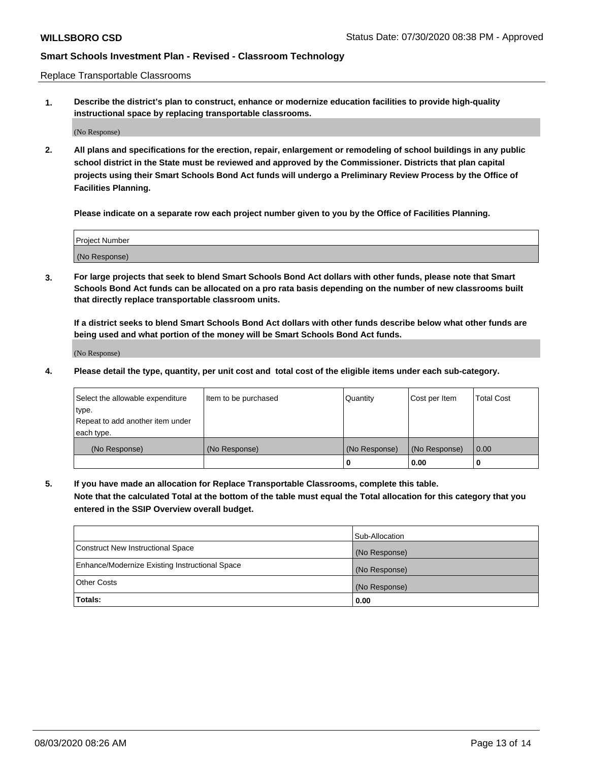Replace Transportable Classrooms

**1. Describe the district's plan to construct, enhance or modernize education facilities to provide high-quality instructional space by replacing transportable classrooms.**

(No Response)

**2. All plans and specifications for the erection, repair, enlargement or remodeling of school buildings in any public school district in the State must be reviewed and approved by the Commissioner. Districts that plan capital projects using their Smart Schools Bond Act funds will undergo a Preliminary Review Process by the Office of Facilities Planning.**

**Please indicate on a separate row each project number given to you by the Office of Facilities Planning.**

| Project Number |  |
|----------------|--|
|                |  |
| (No Response)  |  |

**3. For large projects that seek to blend Smart Schools Bond Act dollars with other funds, please note that Smart Schools Bond Act funds can be allocated on a pro rata basis depending on the number of new classrooms built that directly replace transportable classroom units.**

**If a district seeks to blend Smart Schools Bond Act dollars with other funds describe below what other funds are being used and what portion of the money will be Smart Schools Bond Act funds.**

(No Response)

**4. Please detail the type, quantity, per unit cost and total cost of the eligible items under each sub-category.**

| Select the allowable expenditure | Item to be purchased | Quantity      | Cost per Item | Total Cost |
|----------------------------------|----------------------|---------------|---------------|------------|
| ∣type.                           |                      |               |               |            |
| Repeat to add another item under |                      |               |               |            |
| each type.                       |                      |               |               |            |
| (No Response)                    | (No Response)        | (No Response) | (No Response) | 0.00       |
|                                  |                      | u             | 0.00          |            |

**5. If you have made an allocation for Replace Transportable Classrooms, complete this table. Note that the calculated Total at the bottom of the table must equal the Total allocation for this category that you entered in the SSIP Overview overall budget.**

|                                                | Sub-Allocation |
|------------------------------------------------|----------------|
| Construct New Instructional Space              | (No Response)  |
| Enhance/Modernize Existing Instructional Space | (No Response)  |
| Other Costs                                    | (No Response)  |
| Totals:                                        | 0.00           |